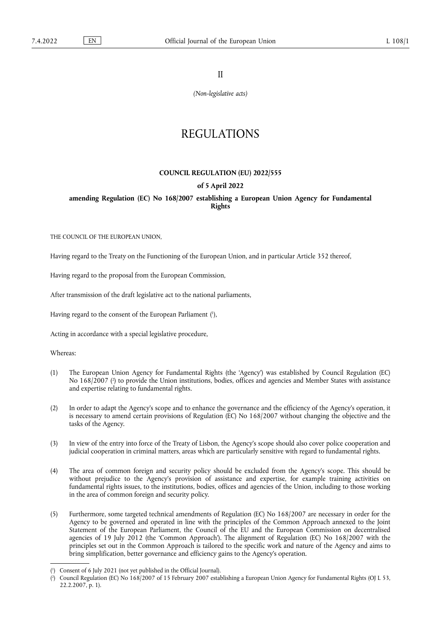II

*(Non-legislative acts)*

# REGULATIONS

#### **COUNCIL REGULATION (EU) 2022/555**

#### **of 5 April 2022**

**amending Regulation (EC) No 168/2007 establishing a European Union Agency for Fundamental Rights** 

THE COUNCIL OF THE EUROPEAN UNION,

Having regard to the Treaty on the Functioning of the European Union, and in particular Article 352 thereof,

Having regard to the proposal from the European Commission,

After transmission of the draft legislative act to the national parliaments,

<span id="page-0-2"></span>Having regard to the consent of the European Parliament [\(](#page-0-0) 1 ),

Acting in accordance with a special legislative procedure,

Whereas:

- <span id="page-0-3"></span>(1) The European Union Agency for Fundamental Rights (the 'Agency') was established by Council Regulation (EC) No 168/2007 [\(](#page-0-1) 2 ) to provide the Union institutions, bodies, offices and agencies and Member States with assistance and expertise relating to fundamental rights.
- (2) In order to adapt the Agency's scope and to enhance the governance and the efficiency of the Agency's operation, it is necessary to amend certain provisions of Regulation (EC) No 168/2007 without changing the objective and the tasks of the Agency.
- (3) In view of the entry into force of the Treaty of Lisbon, the Agency's scope should also cover police cooperation and judicial cooperation in criminal matters, areas which are particularly sensitive with regard to fundamental rights.
- (4) The area of common foreign and security policy should be excluded from the Agency's scope. This should be without prejudice to the Agency's provision of assistance and expertise, for example training activities on fundamental rights issues, to the institutions, bodies, offices and agencies of the Union, including to those working in the area of common foreign and security policy.
- (5) Furthermore, some targeted technical amendments of Regulation (EC) No 168/2007 are necessary in order for the Agency to be governed and operated in line with the principles of the Common Approach annexed to the Joint Statement of the European Parliament, the Council of the EU and the European Commission on decentralised agencies of 19 July 2012 (the 'Common Approach'). The alignment of Regulation (EC) No 168/2007 with the principles set out in the Common Approach is tailored to the specific work and nature of the Agency and aims to bring simplification, better governance and efficiency gains to the Agency's operation.

<span id="page-0-0"></span>[<sup>\(</sup>](#page-0-2) 1 ) Consent of 6 July 2021 (not yet published in the Official Journal).

<span id="page-0-1"></span>[<sup>\(</sup>](#page-0-3) 2 ) Council Regulation (EC) No 168/2007 of 15 February 2007 establishing a European Union Agency for Fundamental Rights (OJ L 53, 22.2.2007, p. 1).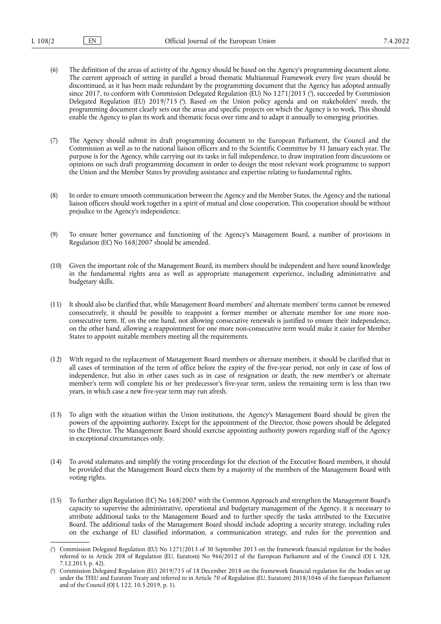- <span id="page-1-3"></span><span id="page-1-2"></span>(6) The definition of the areas of activity of the Agency should be based on the Agency's programming document alone. The current approach of setting in parallel a broad thematic Multiannual Framework every five years should be discontinued, as it has been made redundant by the programming document that the Agency has adopted annually since 2017, to conform with Commission Delegated Regulation [\(](#page-1-0)EU) No 1271/2013 ('), succeeded by Commission Delegated Regulation (EU) 2019/715 [\(](#page-1-1) 4 ). Based on the Union policy agenda and on stakeholders' needs, the programming document clearly sets out the areas and specific projects on which the Agency is to work. This should enable the Agency to plan its work and thematic focus over time and to adapt it annually to emerging priorities.
- (7) The Agency should submit its draft programming document to the European Parliament, the Council and the Commission as well as to the national liaison officers and to the Scientific Committee by 31 January each year. The purpose is for the Agency, while carrying out its tasks in full independence, to draw inspiration from discussions or opinions on such draft programming document in order to design the most relevant work programme to support the Union and the Member States by providing assistance and expertise relating to fundamental rights.
- (8) In order to ensure smooth communication between the Agency and the Member States, the Agency and the national liaison officers should work together in a spirit of mutual and close cooperation. This cooperation should be without prejudice to the Agency's independence.
- (9) To ensure better governance and functioning of the Agency's Management Board, a number of provisions in Regulation (EC) No 168/2007 should be amended.
- (10) Given the important role of the Management Board, its members should be independent and have sound knowledge in the fundamental rights area as well as appropriate management experience, including administrative and budgetary skills.
- (11) It should also be clarified that, while Management Board members' and alternate members' terms cannot be renewed consecutively, it should be possible to reappoint a former member or alternate member for one more nonconsecutive term. If, on the one hand, not allowing consecutive renewals is justified to ensure their independence, on the other hand, allowing a reappointment for one more non-consecutive term would make it easier for Member States to appoint suitable members meeting all the requirements.
- (12) With regard to the replacement of Management Board members or alternate members, it should be clarified that in all cases of termination of the term of office before the expiry of the five-year period, not only in case of loss of independence, but also in other cases such as in case of resignation or death, the new member's or alternate member's term will complete his or her predecessor's five-year term, unless the remaining term is less than two years, in which case a new five-year term may run afresh.
- (13) To align with the situation within the Union institutions, the Agency's Management Board should be given the powers of the appointing authority. Except for the appointment of the Director, those powers should be delegated to the Director. The Management Board should exercise appointing authority powers regarding staff of the Agency in exceptional circumstances only.
- (14) To avoid stalemates and simplify the voting proceedings for the election of the Executive Board members, it should be provided that the Management Board elects them by a majority of the members of the Management Board with voting rights.
- (15) To further align Regulation (EC) No 168/2007 with the Common Approach and strengthen the Management Board's capacity to supervise the administrative, operational and budgetary management of the Agency, it is necessary to attribute additional tasks to the Management Board and to further specify the tasks attributed to the Executive Board. The additional tasks of the Management Board should include adopting a security strategy, including rules on the exchange of EU classified information, a communication strategy, and rules for the prevention and

<span id="page-1-0"></span>[<sup>\(</sup>](#page-1-2) 3 ) Commission Delegated Regulation (EU) No 1271/2013 of 30 September 2013 on the framework financial regulation for the bodies referred to in Article 208 of Regulation (EU, Euratom) No 966/2012 of the European Parliament and of the Council (OJ L 328, 7.12.2013, p. 42).

<span id="page-1-1"></span>[<sup>\(</sup>](#page-1-3) 4 ) Commission Delegated Regulation (EU) 2019/715 of 18 December 2018 on the framework financial regulation for the bodies set up under the TFEU and Euratom Treaty and referred to in Article 70 of Regulation (EU, Euratom) 2018/1046 of the European Parliament and of the Council (OJ L 122, 10.5.2019, p. 1).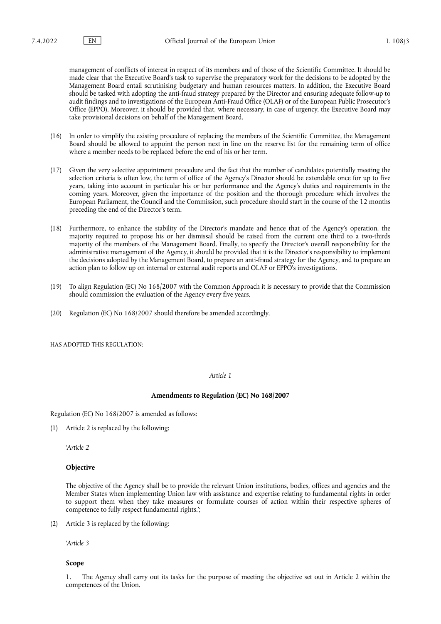management of conflicts of interest in respect of its members and of those of the Scientific Committee. It should be made clear that the Executive Board's task to supervise the preparatory work for the decisions to be adopted by the Management Board entail scrutinising budgetary and human resources matters. In addition, the Executive Board should be tasked with adopting the anti-fraud strategy prepared by the Director and ensuring adequate follow-up to audit findings and to investigations of the European Anti-Fraud Office (OLAF) or of the European Public Prosecutor's Office (EPPO). Moreover, it should be provided that, where necessary, in case of urgency, the Executive Board may take provisional decisions on behalf of the Management Board.

- (16) In order to simplify the existing procedure of replacing the members of the Scientific Committee, the Management Board should be allowed to appoint the person next in line on the reserve list for the remaining term of office where a member needs to be replaced before the end of his or her term.
- (17) Given the very selective appointment procedure and the fact that the number of candidates potentially meeting the selection criteria is often low, the term of office of the Agency's Director should be extendable once for up to five years, taking into account in particular his or her performance and the Agency's duties and requirements in the coming years. Moreover, given the importance of the position and the thorough procedure which involves the European Parliament, the Council and the Commission, such procedure should start in the course of the 12 months preceding the end of the Director's term.
- (18) Furthermore, to enhance the stability of the Director's mandate and hence that of the Agency's operation, the majority required to propose his or her dismissal should be raised from the current one third to a two-thirds majority of the members of the Management Board. Finally, to specify the Director's overall responsibility for the administrative management of the Agency, it should be provided that it is the Director's responsibility to implement the decisions adopted by the Management Board, to prepare an anti-fraud strategy for the Agency, and to prepare an action plan to follow up on internal or external audit reports and OLAF or EPPO's investigations.
- (19) To align Regulation (EC) No 168/2007 with the Common Approach it is necessary to provide that the Commission should commission the evaluation of the Agency every five years.
- (20) Regulation (EC) No 168/2007 should therefore be amended accordingly,

HAS ADOPTED THIS REGULATION:

#### *Article 1*

#### **Amendments to Regulation (EC) No 168/2007**

Regulation (EC) No 168/2007 is amended as follows:

(1) Article 2 is replaced by the following:

'*Article 2*

## **Objective**

The objective of the Agency shall be to provide the relevant Union institutions, bodies, offices and agencies and the Member States when implementing Union law with assistance and expertise relating to fundamental rights in order to support them when they take measures or formulate courses of action within their respective spheres of competence to fully respect fundamental rights.';

(2) Article 3 is replaced by the following:

'*Article 3*

#### **Scope**

1. The Agency shall carry out its tasks for the purpose of meeting the objective set out in Article 2 within the competences of the Union.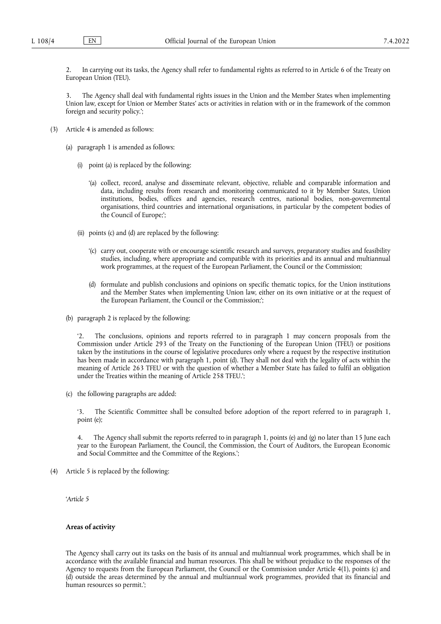2. In carrying out its tasks, the Agency shall refer to fundamental rights as referred to in Article 6 of the Treaty on European Union (TEU).

3. The Agency shall deal with fundamental rights issues in the Union and the Member States when implementing Union law, except for Union or Member States' acts or activities in relation with or in the framework of the common foreign and security policy.';

- (3) Article 4 is amended as follows:
	- (a) paragraph 1 is amended as follows:
		- (i) point (a) is replaced by the following:
			- '(a) collect, record, analyse and disseminate relevant, objective, reliable and comparable information and data, including results from research and monitoring communicated to it by Member States, Union institutions, bodies, offices and agencies, research centres, national bodies, non-governmental organisations, third countries and international organisations, in particular by the competent bodies of the Council of Europe;';
		- (ii) points (c) and (d) are replaced by the following:
			- '(c) carry out, cooperate with or encourage scientific research and surveys, preparatory studies and feasibility studies, including, where appropriate and compatible with its priorities and its annual and multiannual work programmes, at the request of the European Parliament, the Council or the Commission;
			- (d) formulate and publish conclusions and opinions on specific thematic topics, for the Union institutions and the Member States when implementing Union law, either on its own initiative or at the request of the European Parliament, the Council or the Commission;';
	- (b) paragraph 2 is replaced by the following:

'2. The conclusions, opinions and reports referred to in paragraph 1 may concern proposals from the Commission under Article 293 of the Treaty on the Functioning of the European Union (TFEU) or positions taken by the institutions in the course of legislative procedures only where a request by the respective institution has been made in accordance with paragraph 1, point (d). They shall not deal with the legality of acts within the meaning of Article 263 TFEU or with the question of whether a Member State has failed to fulfil an obligation under the Treaties within the meaning of Article 258 TFEU.';

(c) the following paragraphs are added:

'3. The Scientific Committee shall be consulted before adoption of the report referred to in paragraph 1, point (e);

4. The Agency shall submit the reports referred to in paragraph 1, points (e) and (g) no later than 15 June each year to the European Parliament, the Council, the Commission, the Court of Auditors, the European Economic and Social Committee and the Committee of the Regions.';

(4) Article 5 is replaced by the following:

'*Article 5*

## **Areas of activity**

The Agency shall carry out its tasks on the basis of its annual and multiannual work programmes, which shall be in accordance with the available financial and human resources. This shall be without prejudice to the responses of the Agency to requests from the European Parliament, the Council or the Commission under Article 4(1), points (c) and (d) outside the areas determined by the annual and multiannual work programmes, provided that its financial and human resources so permit.';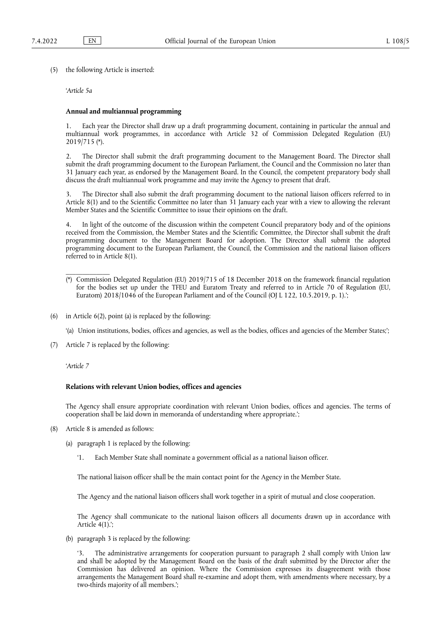(5) the following Article is inserted:

'*Article 5a*

#### **Annual and multiannual programming**

1. Each year the Director shall draw up a draft programming document, containing in particular the annual and multiannual work programmes, in accordance with Article 32 of Commission Delegated Regulation (EU) 2019/715 [\(\\*\).](#page-4-0)

2. The Director shall submit the draft programming document to the Management Board. The Director shall submit the draft programming document to the European Parliament, the Council and the Commission no later than 31 January each year, as endorsed by the Management Board. In the Council, the competent preparatory body shall discuss the draft multiannual work programme and may invite the Agency to present that draft.

3. The Director shall also submit the draft programming document to the national liaison officers referred to in Article 8(1) and to the Scientific Committee no later than 31 January each year with a view to allowing the relevant Member States and the Scientific Committee to issue their opinions on the draft.

4. In light of the outcome of the discussion within the competent Council preparatory body and of the opinions received from the Commission, the Member States and the Scientific Committee, the Director shall submit the draft programming document to the Management Board for adoption. The Director shall submit the adopted programming document to the European Parliament, the Council, the Commission and the national liaison officers referred to in Article 8(1).

- <span id="page-4-0"></span>(\*) Commission Delegated Regulation (EU) 2019/715 of 18 December 2018 on the framework financial regulation for the bodies set up under the TFEU and Euratom Treaty and referred to in Article 70 of Regulation (EU, Euratom) 2018/1046 of the European Parliament and of the Council (OJ L 122, 10.5.2019, p. 1).';
- (6) in Article 6(2), point (a) is replaced by the following:

'(a) Union institutions, bodies, offices and agencies, as well as the bodies, offices and agencies of the Member States;';

(7) Article 7 is replaced by the following:

'*Article 7*

\_\_\_\_\_\_\_\_\_\_\_\_\_

#### **Relations with relevant Union bodies, offices and agencies**

The Agency shall ensure appropriate coordination with relevant Union bodies, offices and agencies. The terms of cooperation shall be laid down in memoranda of understanding where appropriate.';

- (8) Article 8 is amended as follows:
	- (a) paragraph 1 is replaced by the following:
		- '1. Each Member State shall nominate a government official as a national liaison officer.

The national liaison officer shall be the main contact point for the Agency in the Member State.

The Agency and the national liaison officers shall work together in a spirit of mutual and close cooperation.

The Agency shall communicate to the national liaison officers all documents drawn up in accordance with Article 4(1).';

(b) paragraph 3 is replaced by the following:

'3. The administrative arrangements for cooperation pursuant to paragraph 2 shall comply with Union law and shall be adopted by the Management Board on the basis of the draft submitted by the Director after the Commission has delivered an opinion. Where the Commission expresses its disagreement with those arrangements the Management Board shall re-examine and adopt them, with amendments where necessary, by a two-thirds majority of all members.';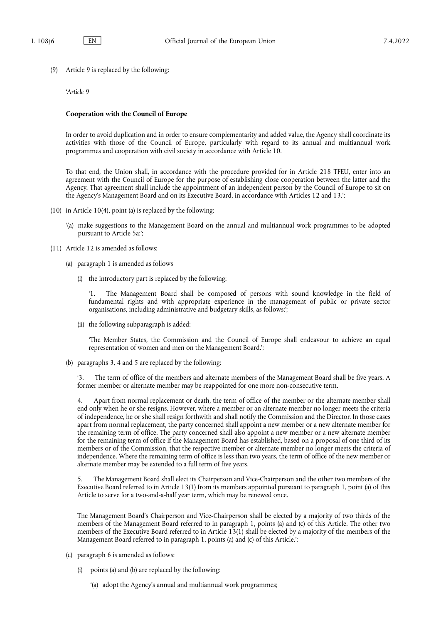(9) Article 9 is replaced by the following:

#### '*Article 9*

#### **Cooperation with the Council of Europe**

In order to avoid duplication and in order to ensure complementarity and added value, the Agency shall coordinate its activities with those of the Council of Europe, particularly with regard to its annual and multiannual work programmes and cooperation with civil society in accordance with Article 10.

To that end, the Union shall, in accordance with the procedure provided for in Article 218 TFEU, enter into an agreement with the Council of Europe for the purpose of establishing close cooperation between the latter and the Agency. That agreement shall include the appointment of an independent person by the Council of Europe to sit on the Agency's Management Board and on its Executive Board, in accordance with Articles 12 and 13.';

- (10) in Article 10(4), point (a) is replaced by the following:
	- '(a) make suggestions to the Management Board on the annual and multiannual work programmes to be adopted pursuant to Article 5a;';
- (11) Article 12 is amended as follows:
	- (a) paragraph 1 is amended as follows
		- (i) the introductory part is replaced by the following:

The Management Board shall be composed of persons with sound knowledge in the field of fundamental rights and with appropriate experience in the management of public or private sector organisations, including administrative and budgetary skills, as follows:';

(ii) the following subparagraph is added:

'The Member States, the Commission and the Council of Europe shall endeavour to achieve an equal representation of women and men on the Management Board.';

(b) paragraphs 3, 4 and 5 are replaced by the following:

The term of office of the members and alternate members of the Management Board shall be five years. A former member or alternate member may be reappointed for one more non-consecutive term.

4. Apart from normal replacement or death, the term of office of the member or the alternate member shall end only when he or she resigns. However, where a member or an alternate member no longer meets the criteria of independence, he or she shall resign forthwith and shall notify the Commission and the Director. In those cases apart from normal replacement, the party concerned shall appoint a new member or a new alternate member for the remaining term of office. The party concerned shall also appoint a new member or a new alternate member for the remaining term of office if the Management Board has established, based on a proposal of one third of its members or of the Commission, that the respective member or alternate member no longer meets the criteria of independence. Where the remaining term of office is less than two years, the term of office of the new member or alternate member may be extended to a full term of five years.

5. The Management Board shall elect its Chairperson and Vice-Chairperson and the other two members of the Executive Board referred to in Article 13(1) from its members appointed pursuant to paragraph 1, point (a) of this Article to serve for a two-and-a-half year term, which may be renewed once.

The Management Board's Chairperson and Vice-Chairperson shall be elected by a majority of two thirds of the members of the Management Board referred to in paragraph 1, points (a) and (c) of this Article. The other two members of the Executive Board referred to in Article 13(1) shall be elected by a majority of the members of the Management Board referred to in paragraph 1, points (a) and (c) of this Article.';

- (c) paragraph 6 is amended as follows:
	- (i) points (a) and (b) are replaced by the following:
		- '(a) adopt the Agency's annual and multiannual work programmes;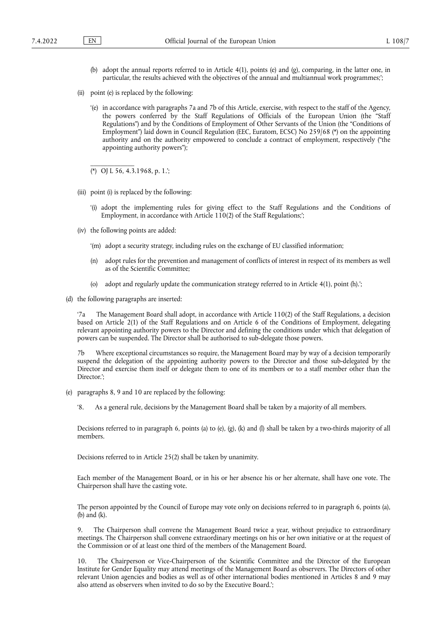- (b) adopt the annual reports referred to in Article 4(1), points (e) and (g), comparing, in the latter one, in particular, the results achieved with the objectives of the annual and multiannual work programmes;';
- (ii) point (e) is replaced by the following:
	- '(e) in accordance with paragraphs 7a and 7b of this Article, exercise, with respect to the staff of the Agency, the powers conferred by the Staff Regulations of Officials of the European Union (the "Staff Regulations") and by the Conditions of Employment of Other Servants of the Union (the "Conditions of Employment") laid down in Council Regulation (EEC, Euratom, ECSC) No 259/68 [\(\\*\)](#page-6-0) on the appointing authority and on the authority empowered to conclude a contract of employment, respectively ("the appointing authority powers");

<span id="page-6-0"></span>(\*) OJ L 56, 4.3.1968, p. 1.';

\_\_\_\_\_\_\_\_\_\_\_\_\_

- (iii) point (i) is replaced by the following:
	- '(i) adopt the implementing rules for giving effect to the Staff Regulations and the Conditions of Employment, in accordance with Article 110(2) of the Staff Regulations;';
- (iv) the following points are added:
	- '(m) adopt a security strategy, including rules on the exchange of EU classified information;
	- (n) adopt rules for the prevention and management of conflicts of interest in respect of its members as well as of the Scientific Committee;
	- (o) adopt and regularly update the communication strategy referred to in Article 4(1), point (h).';
- (d) the following paragraphs are inserted:

'7a The Management Board shall adopt, in accordance with Article 110(2) of the Staff Regulations, a decision based on Article 2(1) of the Staff Regulations and on Article 6 of the Conditions of Employment, delegating relevant appointing authority powers to the Director and defining the conditions under which that delegation of powers can be suspended. The Director shall be authorised to sub-delegate those powers.

7b Where exceptional circumstances so require, the Management Board may by way of a decision temporarily suspend the delegation of the appointing authority powers to the Director and those sub-delegated by the Director and exercise them itself or delegate them to one of its members or to a staff member other than the Director.';

(e) paragraphs 8, 9 and 10 are replaced by the following:

'8. As a general rule, decisions by the Management Board shall be taken by a majority of all members.

Decisions referred to in paragraph 6, points (a) to (e), (g), (k) and (l) shall be taken by a two-thirds majority of all members.

Decisions referred to in Article 25(2) shall be taken by unanimity.

Each member of the Management Board, or in his or her absence his or her alternate, shall have one vote. The Chairperson shall have the casting vote.

The person appointed by the Council of Europe may vote only on decisions referred to in paragraph 6, points (a), (b) and (k).

9. The Chairperson shall convene the Management Board twice a year, without prejudice to extraordinary meetings. The Chairperson shall convene extraordinary meetings on his or her own initiative or at the request of the Commission or of at least one third of the members of the Management Board.

10. The Chairperson or Vice-Chairperson of the Scientific Committee and the Director of the European Institute for Gender Equality may attend meetings of the Management Board as observers. The Directors of other relevant Union agencies and bodies as well as of other international bodies mentioned in Articles 8 and 9 may also attend as observers when invited to do so by the Executive Board.';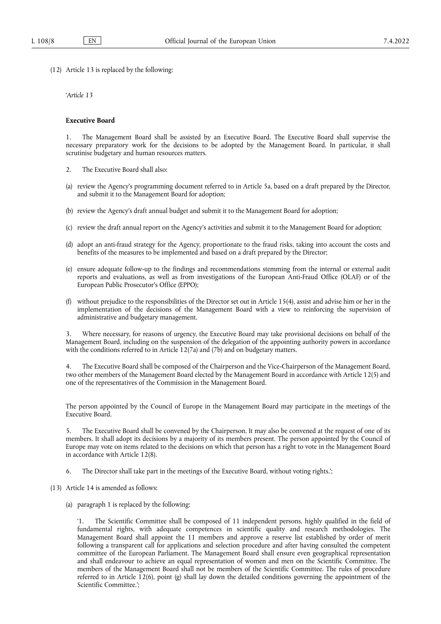(12) Article 13 is replaced by the following:

'*Article 13*

#### **Executive Board**

1. The Management Board shall be assisted by an Executive Board. The Executive Board shall supervise the necessary preparatory work for the decisions to be adopted by the Management Board. In particular, it shall scrutinise budgetary and human resources matters.

- 2. The Executive Board shall also:
- (a) review the Agency's programming document referred to in Article 5a, based on a draft prepared by the Director, and submit it to the Management Board for adoption;
- (b) review the Agency's draft annual budget and submit it to the Management Board for adoption;
- (c) review the draft annual report on the Agency's activities and submit it to the Management Board for adoption;
- (d) adopt an anti-fraud strategy for the Agency, proportionate to the fraud risks, taking into account the costs and benefits of the measures to be implemented and based on a draft prepared by the Director;
- (e) ensure adequate follow-up to the findings and recommendations stemming from the internal or external audit reports and evaluations, as well as from investigations of the European Anti-Fraud Office (OLAF) or of the European Public Prosecutor's Office (EPPO);
- (f) without prejudice to the responsibilities of the Director set out in Article 15(4), assist and advise him or her in the implementation of the decisions of the Management Board with a view to reinforcing the supervision of administrative and budgetary management.

3. Where necessary, for reasons of urgency, the Executive Board may take provisional decisions on behalf of the Management Board, including on the suspension of the delegation of the appointing authority powers in accordance with the conditions referred to in Article 12(7a) and (7b) and on budgetary matters.

4. The Executive Board shall be composed of the Chairperson and the Vice-Chairperson of the Management Board, two other members of the Management Board elected by the Management Board in accordance with Article 12(5) and one of the representatives of the Commission in the Management Board.

The person appointed by the Council of Europe in the Management Board may participate in the meetings of the Executive Board.

5. The Executive Board shall be convened by the Chairperson. It may also be convened at the request of one of its members. It shall adopt its decisions by a majority of its members present. The person appointed by the Council of Europe may vote on items related to the decisions on which that person has a right to vote in the Management Board in accordance with Article 12(8).

6. The Director shall take part in the meetings of the Executive Board, without voting rights.';

- (13) Article 14 is amended as follows:
	- (a) paragraph 1 is replaced by the following:

'1. The Scientific Committee shall be composed of 11 independent persons, highly qualified in the field of fundamental rights, with adequate competences in scientific quality and research methodologies. The Management Board shall appoint the 11 members and approve a reserve list established by order of merit following a transparent call for applications and selection procedure and after having consulted the competent committee of the European Parliament. The Management Board shall ensure even geographical representation and shall endeavour to achieve an equal representation of women and men on the Scientific Committee. The members of the Management Board shall not be members of the Scientific Committee. The rules of procedure referred to in Article 12(6), point (g) shall lay down the detailed conditions governing the appointment of the Scientific Committee.';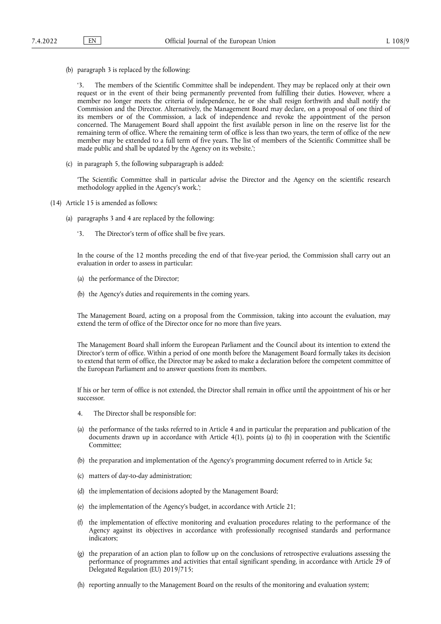(b) paragraph 3 is replaced by the following:

'3. The members of the Scientific Committee shall be independent. They may be replaced only at their own request or in the event of their being permanently prevented from fulfilling their duties. However, where a member no longer meets the criteria of independence, he or she shall resign forthwith and shall notify the Commission and the Director. Alternatively, the Management Board may declare, on a proposal of one third of its members or of the Commission, a lack of independence and revoke the appointment of the person concerned. The Management Board shall appoint the first available person in line on the reserve list for the remaining term of office. Where the remaining term of office is less than two years, the term of office of the new member may be extended to a full term of five years. The list of members of the Scientific Committee shall be made public and shall be updated by the Agency on its website.';

(c) in paragraph 5, the following subparagraph is added:

'The Scientific Committee shall in particular advise the Director and the Agency on the scientific research methodology applied in the Agency's work.';

- (14) Article 15 is amended as follows:
	- (a) paragraphs 3 and 4 are replaced by the following:
		- '3. The Director's term of office shall be five years.

In the course of the 12 months preceding the end of that five-year period, the Commission shall carry out an evaluation in order to assess in particular:

- (a) the performance of the Director;
- (b) the Agency's duties and requirements in the coming years.

The Management Board, acting on a proposal from the Commission, taking into account the evaluation, may extend the term of office of the Director once for no more than five years.

The Management Board shall inform the European Parliament and the Council about its intention to extend the Director's term of office. Within a period of one month before the Management Board formally takes its decision to extend that term of office, the Director may be asked to make a declaration before the competent committee of the European Parliament and to answer questions from its members.

If his or her term of office is not extended, the Director shall remain in office until the appointment of his or her successor.

- 4. The Director shall be responsible for:
- (a) the performance of the tasks referred to in Article 4 and in particular the preparation and publication of the documents drawn up in accordance with Article 4(1), points (a) to (h) in cooperation with the Scientific Committee;
- (b) the preparation and implementation of the Agency's programming document referred to in Article 5a;
- (c) matters of day-to-day administration;
- (d) the implementation of decisions adopted by the Management Board;
- (e) the implementation of the Agency's budget, in accordance with Article 21;
- (f) the implementation of effective monitoring and evaluation procedures relating to the performance of the Agency against its objectives in accordance with professionally recognised standards and performance indicators;
- (g) the preparation of an action plan to follow up on the conclusions of retrospective evaluations assessing the performance of programmes and activities that entail significant spending, in accordance with Article 29 of Delegated Regulation (EU) 2019/715;
- (h) reporting annually to the Management Board on the results of the monitoring and evaluation system;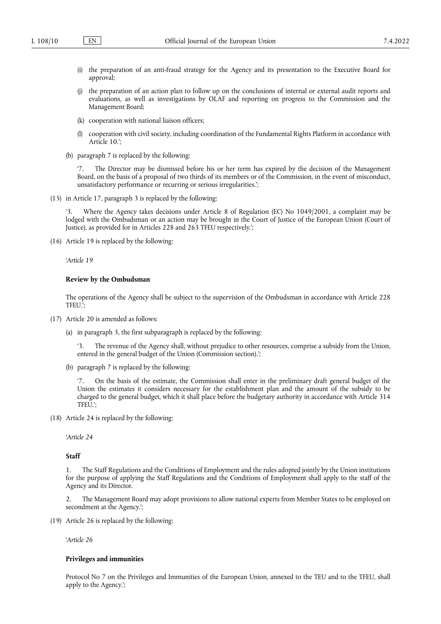- (i) the preparation of an anti-fraud strategy for the Agency and its presentation to the Executive Board for approval;
- (j) the preparation of an action plan to follow up on the conclusions of internal or external audit reports and evaluations, as well as investigations by OLAF and reporting on progress to the Commission and the Management Board;
- (k) cooperation with national liaison officers;
- (l) cooperation with civil society, including coordination of the Fundamental Rights Platform in accordance with Article 10.';
- (b) paragraph 7 is replaced by the following:

'7. The Director may be dismissed before his or her term has expired by the decision of the Management Board, on the basis of a proposal of two thirds of its members or of the Commission, in the event of misconduct, unsatisfactory performance or recurring or serious irregularities.';

(15) in Article 17, paragraph 3 is replaced by the following:

Where the Agency takes decisions under Article 8 of Regulation (EC) No 1049/2001, a complaint may be lodged with the Ombudsman or an action may be brought in the Court of Justice of the European Union (Court of Justice), as provided for in Articles 228 and 263 TFEU respectively.';

(16) Article 19 is replaced by the following:

'*Article 19*

## **Review by the Ombudsman**

The operations of the Agency shall be subject to the supervision of the Ombudsman in accordance with Article 228 TFEU.';

- (17) Article 20 is amended as follows:
	- (a) in paragraph 3, the first subparagraph is replaced by the following:

'3. The revenue of the Agency shall, without prejudice to other resources, comprise a subsidy from the Union, entered in the general budget of the Union (Commission section).';

(b) paragraph 7 is replaced by the following:

'7. On the basis of the estimate, the Commission shall enter in the preliminary draft general budget of the Union the estimates it considers necessary for the establishment plan and the amount of the subsidy to be charged to the general budget, which it shall place before the budgetary authority in accordance with Article 314 TFEU.';

(18) Article 24 is replaced by the following:

'*Article 24*

# **Staff**

1. The Staff Regulations and the Conditions of Employment and the rules adopted jointly by the Union institutions for the purpose of applying the Staff Regulations and the Conditions of Employment shall apply to the staff of the Agency and its Director.

2. The Management Board may adopt provisions to allow national experts from Member States to be employed on secondment at the Agency.';

(19) Article 26 is replaced by the following:

'*Article 26*

## **Privileges and immunities**

Protocol No 7 on the Privileges and Immunities of the European Union, annexed to the TEU and to the TFEU, shall apply to the Agency.';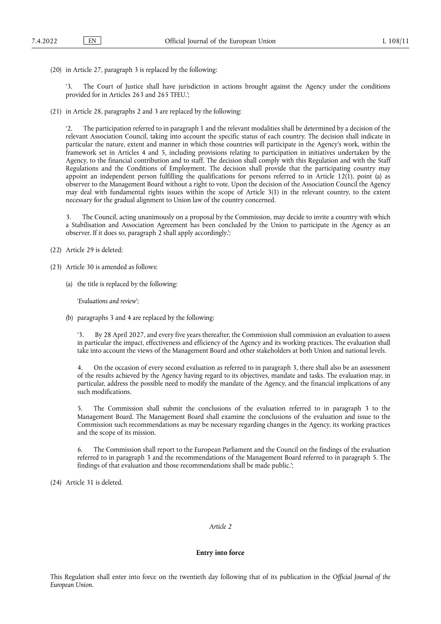(20) in Article 27, paragraph 3 is replaced by the following:

The Court of Justice shall have jurisdiction in actions brought against the Agency under the conditions provided for in Articles 263 and 265 TFEU.':

(21) in Article 28, paragraphs 2 and 3 are replaced by the following:

'2. The participation referred to in paragraph 1 and the relevant modalities shall be determined by a decision of the relevant Association Council, taking into account the specific status of each country. The decision shall indicate in particular the nature, extent and manner in which those countries will participate in the Agency's work, within the framework set in Articles 4 and 5, including provisions relating to participation in initiatives undertaken by the Agency, to the financial contribution and to staff. The decision shall comply with this Regulation and with the Staff Regulations and the Conditions of Employment. The decision shall provide that the participating country may appoint an independent person fulfilling the qualifications for persons referred to in Article 12(1), point (a) as observer to the Management Board without a right to vote. Upon the decision of the Association Council the Agency may deal with fundamental rights issues within the scope of Article 3(1) in the relevant country, to the extent necessary for the gradual alignment to Union law of the country concerned.

3. The Council, acting unanimously on a proposal by the Commission, may decide to invite a country with which a Stabilisation and Association Agreement has been concluded by the Union to participate in the Agency as an observer. If it does so, paragraph 2 shall apply accordingly.';

(22) Article 29 is deleted;

- (23) Article 30 is amended as follows:
	- (a) the title is replaced by the following:

'*Evaluations and review*';

(b) paragraphs 3 and 4 are replaced by the following:

By 28 April 2027, and every five years thereafter, the Commission shall commission an evaluation to assess in particular the impact, effectiveness and efficiency of the Agency and its working practices. The evaluation shall take into account the views of the Management Board and other stakeholders at both Union and national levels.

4. On the occasion of every second evaluation as referred to in paragraph 3, there shall also be an assessment of the results achieved by the Agency having regard to its objectives, mandate and tasks. The evaluation may, in particular, address the possible need to modify the mandate of the Agency, and the financial implications of any such modifications.

5. The Commission shall submit the conclusions of the evaluation referred to in paragraph 3 to the Management Board. The Management Board shall examine the conclusions of the evaluation and issue to the Commission such recommendations as may be necessary regarding changes in the Agency, its working practices and the scope of its mission.

6. The Commission shall report to the European Parliament and the Council on the findings of the evaluation referred to in paragraph 3 and the recommendations of the Management Board referred to in paragraph 5. The findings of that evaluation and those recommendations shall be made public.';

(24) Article 31 is deleted.

#### *Article 2*

#### **Entry into force**

This Regulation shall enter into force on the twentieth day following that of its publication in the *Official Journal of the European Union*.